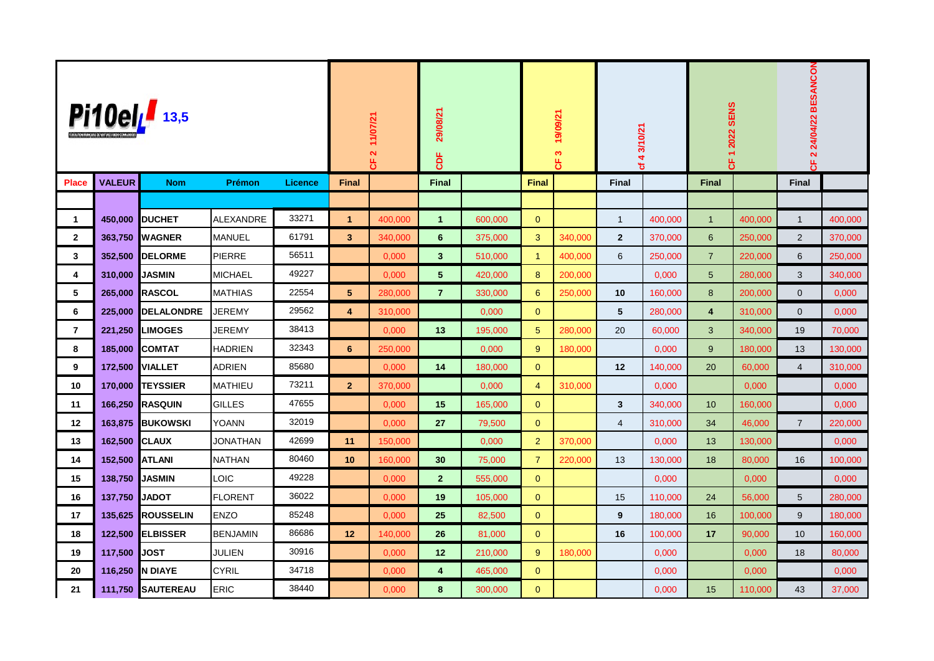| Pi10elL 13,5   |               |                   |                  |                | 11/07/21<br>$\overline{\mathbf{N}}$<br>෪ |         | 29/08/21<br><b>bF</b> |         | 19/09/21<br>$\boldsymbol{\omega}$<br>෪ |         | 43/10/21<br>৳ |         | 2022 SENS<br>$\leftarrow$<br>෪ |         | 2 24/04/22 BESANCON<br>u,<br>ω |         |
|----------------|---------------|-------------------|------------------|----------------|------------------------------------------|---------|-----------------------|---------|----------------------------------------|---------|---------------|---------|--------------------------------|---------|--------------------------------|---------|
| <b>Place</b>   | <b>VALEUR</b> | <b>Nom</b>        | Prémon           | <b>Licence</b> | <b>Final</b>                             |         | <b>Final</b>          |         | <b>Final</b>                           |         | <b>Final</b>  |         | <b>Final</b>                   |         | <b>Final</b>                   |         |
|                |               |                   |                  |                |                                          |         |                       |         |                                        |         |               |         |                                |         |                                |         |
| $\mathbf{1}$   | 450,000       | <b>DUCHET</b>     | <b>ALEXANDRE</b> | 33271          | $\mathbf{1}$                             | 400.000 | $\mathbf{1}$          | 600.000 | $\mathbf{0}$                           |         | $\mathbf{1}$  | 400.000 | $\overline{1}$                 | 400,000 | $\mathbf{1}$                   | 400.000 |
| $\mathbf{2}$   | 363,750       | <b>I</b> WAGNER   | MANUEL           | 61791          | $\mathbf{3}$                             | 340,000 | 6                     | 375,000 | 3                                      | 340,000 | $\mathbf{2}$  | 370,000 | $6\phantom{1}$                 | 250,000 | 2                              | 370,000 |
| $\mathbf{3}$   | 352,500       | <b>DELORME</b>    | PIERRE           | 56511          |                                          | 0,000   | $\mathbf{3}$          | 510.000 | $\overline{1}$                         | 400,000 | 6             | 250,000 | $\overline{7}$                 | 220,000 | 6                              | 250,000 |
| 4              | 310,000       | <b>JASMIN</b>     | <b>MICHAEL</b>   | 49227          |                                          | 0,000   | 5                     | 420,000 | 8                                      | 200,000 |               | 0,000   | $5\phantom{.0}$                | 280,000 | 3                              | 340,000 |
| 5              | 265,000       | RASCOL            | <b>MATHIAS</b>   | 22554          | 5                                        | 280,000 | $\overline{7}$        | 330.000 | 6                                      | 250,000 | 10            | 160,000 | 8                              | 200,000 | $\mathbf 0$                    | 0,000   |
| 6              | 225,000       | <b>DELALONDRE</b> | JEREMY           | 29562          | 4                                        | 310,000 |                       | 0,000   | $\mathbf{0}$                           |         | 5             | 280,000 | $\overline{\mathbf{4}}$        | 310,000 | $\overline{0}$                 | 0,000   |
| $\overline{7}$ | 221,250       | <b>LIMOGES</b>    | JEREMY           | 38413          |                                          | 0,000   | 13                    | 195,000 | 5                                      | 280,000 | 20            | 60,000  | 3                              | 340,000 | 19                             | 70,000  |
| 8              | 185,000       | <b>COMTAT</b>     | <b>HADRIEN</b>   | 32343          | 6                                        | 250,000 |                       | 0,000   | 9                                      | 180,000 |               | 0,000   | $9\,$                          | 180,000 | 13                             | 130,000 |
| 9              | 172,500       | <b>VIALLET</b>    | <b>ADRIEN</b>    | 85680          |                                          | 0.000   | 14                    | 180,000 | $\mathbf{0}$                           |         | 12            | 140,000 | 20                             | 60,000  | $\overline{4}$                 | 310,000 |
| 10             | 170,000       | <b>TEYSSIER</b>   | MATHIEU          | 73211          | $\overline{2}$                           | 370,000 |                       | 0,000   | $\overline{4}$                         | 310,000 |               | 0,000   |                                | 0,000   |                                | 0,000   |
| 11             | 166,250       | <b>RASQUIN</b>    | <b>GILLES</b>    | 47655          |                                          | 0,000   | 15                    | 165,000 | $\mathbf{0}$                           |         | $\mathbf{3}$  | 340,000 | 10 <sup>10</sup>               | 160,000 |                                | 0,000   |
| 12             | 163,875       | <b>BUKOWSKI</b>   | YOANN            | 32019          |                                          | 0,000   | 27                    | 79,500  | $\mathbf{0}$                           |         | 4             | 310,000 | 34                             | 46,000  | $\overline{7}$                 | 220,000 |
| 13             | 162,500       | <b>ICLAUX</b>     | JONATHAN         | 42699          | 11                                       | 150,000 |                       | 0.000   | $\overline{2}$                         | 370,000 |               | 0,000   | 13                             | 130,000 |                                | 0,000   |
| 14             | 152,500       | <b>ATLANI</b>     | <b>NATHAN</b>    | 80460          | 10                                       | 160,000 | 30                    | 75,000  | $\overline{7}$                         | 220,000 | 13            | 130,000 | 18                             | 80,000  | 16                             | 100,000 |
| 15             | 138,750       | <b>JASMIN</b>     | LOIC             | 49228          |                                          | 0,000   | 2 <sup>2</sup>        | 555.000 | $\mathbf{0}$                           |         |               | 0,000   |                                | 0,000   |                                | 0.000   |
| 16             | 137,750       | <b>JADOT</b>      | <b>FLORENT</b>   | 36022          |                                          | 0,000   | 19                    | 105,000 | $\overline{0}$                         |         | 15            | 110,000 | 24                             | 56,000  | 5                              | 280,000 |
| 17             | 135,625       | <b>ROUSSELIN</b>  | <b>ENZO</b>      | 85248          |                                          | 0,000   | 25                    | 82.500  | $\mathbf{0}$                           |         | 9             | 180,000 | 16                             | 100,000 | 9                              | 180,000 |
| 18             | 122,500       | <b>ELBISSER</b>   | <b>BENJAMIN</b>  | 86686          | 12                                       | 140,000 | 26                    | 81,000  | $\mathbf{0}$                           |         | 16            | 100,000 | 17                             | 90,000  | 10                             | 160,000 |
| 19             | 117,500       | <b>JOST</b>       | JULIEN           | 30916          |                                          | 0,000   | 12                    | 210,000 | 9                                      | 180,000 |               | 0,000   |                                | 0,000   | 18                             | 80,000  |
| 20             | 116,250       | IN DIAYE          | <b>CYRIL</b>     | 34718          |                                          | 0,000   | 4                     | 465,000 | $\mathbf{0}$                           |         |               | 0,000   |                                | 0,000   |                                | 0,000   |
| 21             | 111,750       | <b>SAUTEREAU</b>  | <b>ERIC</b>      | 38440          |                                          | 0,000   | 8                     | 300,000 | $\mathbf{0}$                           |         |               | 0,000   | 15                             | 110,000 | 43                             | 37,000  |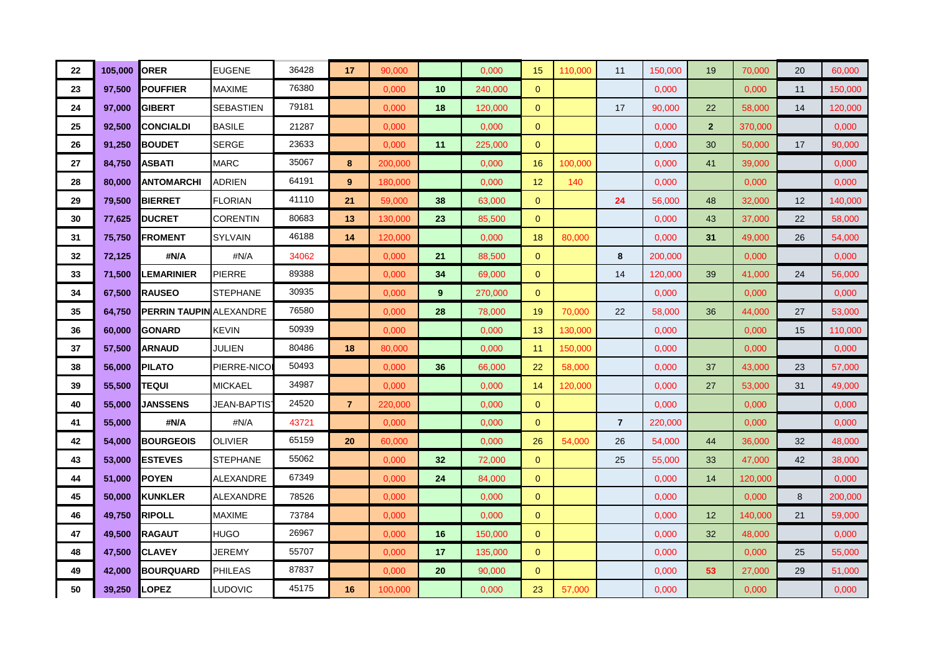| 22 | 105,000 | <b>ORER</b>                    | <b>EUGENE</b>    | 36428 | 17             | 90,000  |    | 0,000   | 15             | 110,000 | 11             | 150,000 | 19             | 70,000  | 20 | 60,000  |
|----|---------|--------------------------------|------------------|-------|----------------|---------|----|---------|----------------|---------|----------------|---------|----------------|---------|----|---------|
| 23 | 97,500  | <b>POUFFIER</b>                | <b>MAXIME</b>    | 76380 |                | 0,000   | 10 | 240,000 | $\mathbf{0}$   |         |                | 0,000   |                | 0,000   | 11 | 150,000 |
| 24 | 97,000  | <b>I</b> GIBERT                | <b>SEBASTIEN</b> | 79181 |                | 0.000   | 18 | 120,000 | $\overline{0}$ |         | 17             | 90.000  | 22             | 58,000  | 14 | 120,000 |
| 25 | 92,500  | <b>CONCIALDI</b>               | <b>BASILE</b>    | 21287 |                | 0,000   |    | 0,000   | $\overline{0}$ |         |                | 0,000   | $\overline{2}$ | 370,000 |    | 0,000   |
| 26 | 91,250  | <b>BOUDET</b>                  | <b>SERGE</b>     | 23633 |                | 0,000   | 11 | 225,000 | $\mathbf{0}$   |         |                | 0,000   | 30             | 50,000  | 17 | 90,000  |
| 27 | 84,750  | <b>ASBATI</b>                  | <b>MARC</b>      | 35067 | 8              | 200,000 |    | 0,000   | 16             | 100,000 |                | 0,000   | 41             | 39,000  |    | 0,000   |
| 28 | 80,000  | <b>ANTOMARCHI</b>              | <b>ADRIEN</b>    | 64191 | 9              | 180.000 |    | 0,000   | 12             | 140     |                | 0,000   |                | 0,000   |    | 0,000   |
| 29 | 79,500  | <b>BIERRET</b>                 | <b>FLORIAN</b>   | 41110 | 21             | 59,000  | 38 | 63,000  | $\overline{0}$ |         | 24             | 56,000  | 48             | 32,000  | 12 | 140,000 |
| 30 | 77,625  | <b>DUCRET</b>                  | <b>CORENTIN</b>  | 80683 | 13             | 130,000 | 23 | 85,500  | $\overline{0}$ |         |                | 0,000   | 43             | 37,000  | 22 | 58,000  |
| 31 | 75,750  | <b>FROMENT</b>                 | <b>SYLVAIN</b>   | 46188 | 14             | 120,000 |    | 0,000   | 18             | 80,000  |                | 0,000   | 31             | 49,000  | 26 | 54,000  |
| 32 | 72,125  | #N/A                           | #N/A             | 34062 |                | 0,000   | 21 | 88,500  | $\overline{0}$ |         | 8              | 200,000 |                | 0,000   |    | 0,000   |
| 33 | 71,500  | <b>LEMARINIER</b>              | PIERRE           | 89388 |                | 0,000   | 34 | 69,000  | $\mathbf{0}$   |         | 14             | 120,000 | 39             | 41,000  | 24 | 56,000  |
| 34 | 67,500  | <b>RAUSEO</b>                  | <b>STEPHANE</b>  | 30935 |                | 0,000   | 9  | 270,000 | $\overline{0}$ |         |                | 0,000   |                | 0,000   |    | 0,000   |
| 35 | 64,750  | <b>PERRIN TAUPIN ALEXANDRE</b> |                  | 76580 |                | 0.000   | 28 | 78,000  | 19             | 70.000  | 22             | 58,000  | 36             | 44.000  | 27 | 53,000  |
| 36 | 60,000  | <b>GONARD</b>                  | <b>KEVIN</b>     | 50939 |                | 0,000   |    | 0,000   | 13             | 130,000 |                | 0,000   |                | 0,000   | 15 | 110,000 |
| 37 | 57,500  | <b>ARNAUD</b>                  | <b>JULIEN</b>    | 80486 | 18             | 80,000  |    | 0.000   | 11             | 150,000 |                | 0,000   |                | 0.000   |    | 0,000   |
| 38 | 56,000  | <b>PILATO</b>                  | PIERRE-NICO      | 50493 |                | 0,000   | 36 | 66,000  | 22             | 58,000  |                | 0,000   | 37             | 43,000  | 23 | 57,000  |
| 39 | 55,500  | <b>TEQUI</b>                   | <b>MICKAEL</b>   | 34987 |                | 0,000   |    | 0,000   | 14             | 120,000 |                | 0,000   | 27             | 53,000  | 31 | 49,000  |
| 40 | 55,000  | <b>JANSSENS</b>                | JEAN-BAPTIST     | 24520 | $\overline{7}$ | 220,000 |    | 0,000   | $\overline{0}$ |         |                | 0,000   |                | 0,000   |    | 0,000   |
| 41 | 55,000  | #N/A                           | #N/A             | 43721 |                | 0,000   |    | 0,000   | $\overline{0}$ |         | $\overline{7}$ | 220,000 |                | 0,000   |    | 0,000   |
| 42 | 54,000  | <b>BOURGEOIS</b>               | <b>OLIVIER</b>   | 65159 | 20             | 60,000  |    | 0,000   | 26             | 54,000  | 26             | 54,000  | 44             | 36,000  | 32 | 48,000  |
| 43 | 53,000  | <b>ESTEVES</b>                 | <b>STEPHANE</b>  | 55062 |                | 0,000   | 32 | 72,000  | $\overline{0}$ |         | 25             | 55,000  | 33             | 47,000  | 42 | 38,000  |
| 44 | 51,000  | <b>POYEN</b>                   | ALEXANDRE        | 67349 |                | 0,000   | 24 | 84,000  | $\overline{0}$ |         |                | 0,000   | 14             | 120,000 |    | 0,000   |
| 45 | 50,000  | <b>KUNKLER</b>                 | ALEXANDRE        | 78526 |                | 0,000   |    | 0,000   | $\overline{0}$ |         |                | 0,000   |                | 0,000   | 8  | 200,000 |
| 46 | 49,750  | <b>RIPOLL</b>                  | <b>MAXIME</b>    | 73784 |                | 0,000   |    | 0,000   | $\overline{0}$ |         |                | 0,000   | 12             | 140,000 | 21 | 59,000  |
| 47 | 49,500  | <b>RAGAUT</b>                  | <b>HUGO</b>      | 26967 |                | 0,000   | 16 | 150,000 | $\mathbf{0}$   |         |                | 0,000   | 32             | 48,000  |    | 0,000   |
| 48 | 47,500  | <b>CLAVEY</b>                  | JEREMY           | 55707 |                | 0,000   | 17 | 135,000 | $\overline{0}$ |         |                | 0,000   |                | 0,000   | 25 | 55,000  |
| 49 | 42,000  | <b>BOURQUARD</b>               | <b>PHILEAS</b>   | 87837 |                | 0,000   | 20 | 90,000  | $\mathbf{0}$   |         |                | 0,000   | 53             | 27,000  | 29 | 51,000  |
| 50 | 39,250  | <b>LOPEZ</b>                   | LUDOVIC          | 45175 | 16             | 100,000 |    | 0,000   | 23             | 57,000  |                | 0,000   |                | 0,000   |    | 0,000   |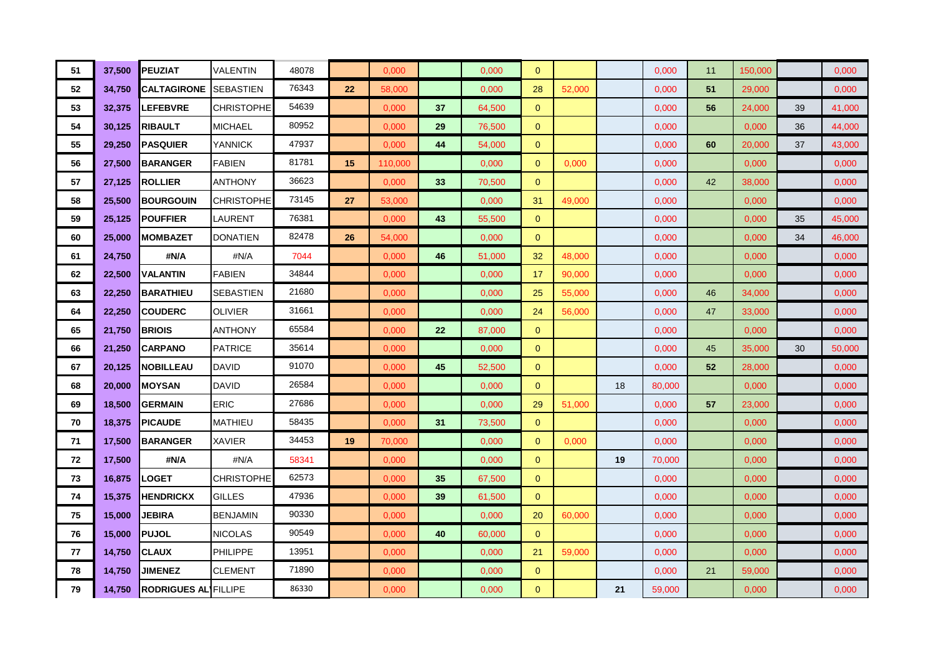| 51 | 37,500 | <b>PEUZIAT</b>              | VALENTIN          | 48078 |    | 0,000   |    | 0,000  | $\mathbf{0}$   |        |    | 0,000  | 11 | 150,000 |    | 0,000  |
|----|--------|-----------------------------|-------------------|-------|----|---------|----|--------|----------------|--------|----|--------|----|---------|----|--------|
| 52 | 34,750 | <b>CALTAGIRONE</b>          | <b>SEBASTIEN</b>  | 76343 | 22 | 58,000  |    | 0.000  | 28             | 52,000 |    | 0,000  | 51 | 29,000  |    | 0,000  |
| 53 | 32,375 | <b>LEFEBVRE</b>             | <b>CHRISTOPHE</b> | 54639 |    | 0,000   | 37 | 64,500 | $\mathbf{0}$   |        |    | 0,000  | 56 | 24,000  | 39 | 41,000 |
| 54 | 30,125 | <b>RIBAULT</b>              | <b>MICHAEL</b>    | 80952 |    | 0,000   | 29 | 76,500 | $\mathbf{0}$   |        |    | 0,000  |    | 0,000   | 36 | 44,000 |
| 55 | 29,250 | <b>PASQUIER</b>             | YANNICK           | 47937 |    | 0,000   | 44 | 54,000 | $\mathbf{0}$   |        |    | 0,000  | 60 | 20,000  | 37 | 43,000 |
| 56 | 27,500 | <b>BARANGER</b>             | FABIEN            | 81781 | 15 | 110,000 |    | 0,000  | $\mathbf{0}$   | 0,000  |    | 0,000  |    | 0,000   |    | 0,000  |
| 57 | 27,125 | ROLLIER                     | <b>ANTHONY</b>    | 36623 |    | 0,000   | 33 | 70,500 | $\mathbf{0}$   |        |    | 0,000  | 42 | 38,000  |    | 0,000  |
| 58 | 25,500 | <b>BOURGOUIN</b>            | <b>CHRISTOPHE</b> | 73145 | 27 | 53,000  |    | 0,000  | 31             | 49,000 |    | 0,000  |    | 0,000   |    | 0,000  |
| 59 | 25,125 | <b>POUFFIER</b>             | LAURENT           | 76381 |    | 0,000   | 43 | 55,500 | $\mathbf{0}$   |        |    | 0,000  |    | 0,000   | 35 | 45,000 |
| 60 | 25,000 | <b>MOMBAZET</b>             | DONATIEN          | 82478 | 26 | 54,000  |    | 0,000  | $\mathbf{0}$   |        |    | 0,000  |    | 0,000   | 34 | 46,000 |
| 61 | 24,750 | #N/A                        | #N/A              | 7044  |    | 0,000   | 46 | 51,000 | 32             | 48,000 |    | 0,000  |    | 0,000   |    | 0,000  |
| 62 | 22,500 | <b>VALANTIN</b>             | <b>FABIEN</b>     | 34844 |    | 0,000   |    | 0,000  | 17             | 90,000 |    | 0,000  |    | 0,000   |    | 0,000  |
| 63 | 22,250 | <b>BARATHIEU</b>            | SEBASTIEN         | 21680 |    | 0,000   |    | 0,000  | 25             | 55,000 |    | 0,000  | 46 | 34,000  |    | 0,000  |
| 64 | 22,250 | <b>COUDERC</b>              | OLIVIER           | 31661 |    | 0,000   |    | 0,000  | 24             | 56,000 |    | 0,000  | 47 | 33,000  |    | 0,000  |
| 65 | 21,750 | <b>BRIOIS</b>               | <b>ANTHONY</b>    | 65584 |    | 0,000   | 22 | 87,000 | $\overline{0}$ |        |    | 0,000  |    | 0,000   |    | 0,000  |
| 66 | 21,250 | <b>CARPANO</b>              | <b>PATRICE</b>    | 35614 |    | 0,000   |    | 0,000  | $\mathbf{0}$   |        |    | 0,000  | 45 | 35,000  | 30 | 50,000 |
| 67 | 20,125 | <b>NOBILLEAU</b>            | DAVID             | 91070 |    | 0.000   | 45 | 52,500 | $\mathbf{0}$   |        |    | 0,000  | 52 | 28,000  |    | 0,000  |
| 68 | 20,000 | <b>MOYSAN</b>               | DAVID             | 26584 |    | 0,000   |    | 0,000  | $\mathbf{0}$   |        | 18 | 80,000 |    | 0,000   |    | 0,000  |
| 69 | 18,500 | <b>GERMAIN</b>              | <b>ERIC</b>       | 27686 |    | 0,000   |    | 0,000  | 29             | 51,000 |    | 0,000  | 57 | 23,000  |    | 0,000  |
| 70 | 18,375 | <b>PICAUDE</b>              | MATHIEU           | 58435 |    | 0,000   | 31 | 73,500 | $\mathbf{0}$   |        |    | 0,000  |    | 0,000   |    | 0,000  |
| 71 | 17,500 | <b>BARANGER</b>             | XAVIER            | 34453 | 19 | 70,000  |    | 0,000  | $\mathbf{0}$   | 0,000  |    | 0,000  |    | 0,000   |    | 0,000  |
| 72 | 17,500 | #N/A                        | #N/A              | 58341 |    | 0,000   |    | 0,000  | $\overline{0}$ |        | 19 | 70,000 |    | 0,000   |    | 0,000  |
| 73 | 16,875 | LOGET                       | <b>CHRISTOPHE</b> | 62573 |    | 0,000   | 35 | 67.500 | $\mathbf{0}$   |        |    | 0.000  |    | 0,000   |    | 0.000  |
| 74 | 15,375 | <b>HENDRICKX</b>            | <b>GILLES</b>     | 47936 |    | 0,000   | 39 | 61,500 | $\mathbf{0}$   |        |    | 0,000  |    | 0,000   |    | 0,000  |
| 75 | 15,000 | <b>JEBIRA</b>               | BENJAMIN          | 90330 |    | 0,000   |    | 0,000  | 20             | 60,000 |    | 0,000  |    | 0,000   |    | 0,000  |
| 76 | 15,000 | PUJOL                       | <b>NICOLAS</b>    | 90549 |    | 0,000   | 40 | 60,000 | $\mathbf{0}$   |        |    | 0,000  |    | 0,000   |    | 0,000  |
| 77 | 14,750 | <b>CLAUX</b>                | <b>PHILIPPE</b>   | 13951 |    | 0,000   |    | 0,000  | 21             | 59,000 |    | 0,000  |    | 0,000   |    | 0,000  |
| 78 | 14,750 | <b>JIMENEZ</b>              | <b>CLEMENT</b>    | 71890 |    | 0,000   |    | 0,000  | $\mathbf{0}$   |        |    | 0,000  | 21 | 59,000  |    | 0,000  |
| 79 | 14,750 | <b>RODRIGUES AL FILLIPE</b> |                   | 86330 |    | 0,000   |    | 0,000  | $\mathbf{0}$   |        | 21 | 59,000 |    | 0,000   |    | 0,000  |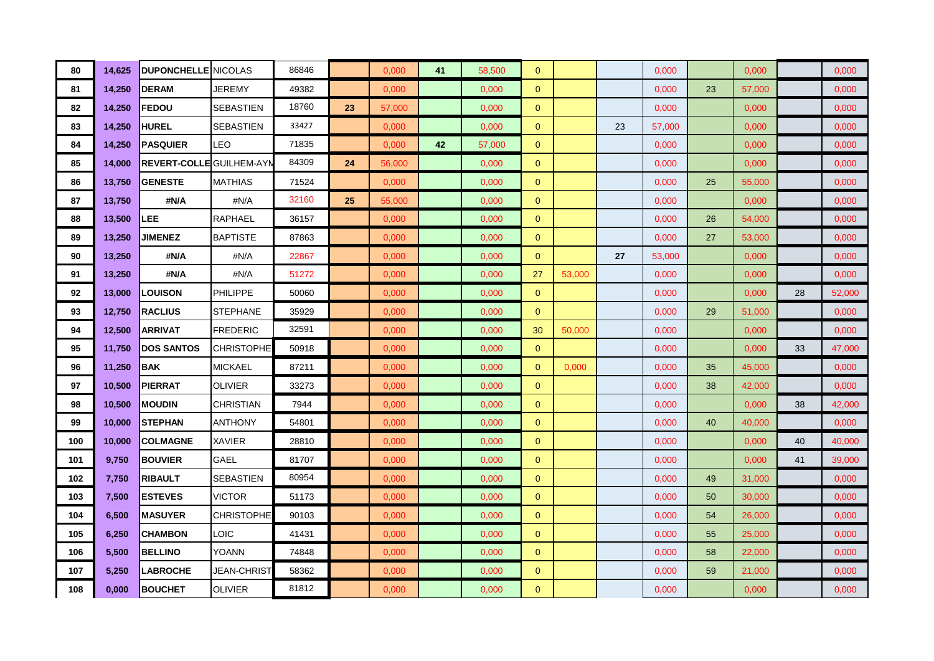| 80  | 14,625 | <b>DUPONCHELLE</b> NICOLAS      |                    | 86846 |    | 0,000  | 41 | 58,500 | $\mathbf{0}$   |        |    | 0,000  |    | 0,000  |    | 0,000  |
|-----|--------|---------------------------------|--------------------|-------|----|--------|----|--------|----------------|--------|----|--------|----|--------|----|--------|
| 81  | 14,250 | <b>DERAM</b>                    | JEREMY             | 49382 |    | 0,000  |    | 0,000  | $\mathbf{0}$   |        |    | 0,000  | 23 | 57,000 |    | 0,000  |
| 82  | 14,250 | <b>FEDOU</b>                    | SEBASTIEN          | 18760 | 23 | 57,000 |    | 0,000  | $\mathbf{0}$   |        |    | 0.000  |    | 0,000  |    | 0,000  |
| 83  | 14,250 | HUREL                           | SEBASTIEN          | 33427 |    | 0,000  |    | 0,000  | $\mathbf{0}$   |        | 23 | 57,000 |    | 0,000  |    | 0,000  |
| 84  | 14,250 | <b>PASQUIER</b>                 | LEO                | 71835 |    | 0,000  | 42 | 57,000 | $\mathbf{0}$   |        |    | 0,000  |    | 0,000  |    | 0,000  |
| 85  | 14,000 | <b>REVERT-COLLE GUILHEM-AYM</b> |                    | 84309 | 24 | 56,000 |    | 0,000  | $\overline{0}$ |        |    | 0,000  |    | 0,000  |    | 0,000  |
| 86  | 13,750 | <b>GENESTE</b>                  | <b>MATHIAS</b>     | 71524 |    | 0.000  |    | 0,000  | $\mathbf{0}$   |        |    | 0,000  | 25 | 55,000 |    | 0,000  |
| 87  | 13,750 | #N/A                            | #N/A               | 32160 | 25 | 55,000 |    | 0,000  | $\overline{0}$ |        |    | 0,000  |    | 0,000  |    | 0,000  |
| 88  | 13,500 | <b>LEE</b>                      | RAPHAEL            | 36157 |    | 0,000  |    | 0,000  | $\mathbf{0}$   |        |    | 0,000  | 26 | 54,000 |    | 0,000  |
| 89  | 13,250 | <b>JIMENEZ</b>                  | <b>BAPTISTE</b>    | 87863 |    | 0,000  |    | 0,000  | $\mathbf{0}$   |        |    | 0,000  | 27 | 53,000 |    | 0,000  |
| 90  | 13,250 | #N/A                            | #N/A               | 22867 |    | 0,000  |    | 0,000  | $\mathbf{0}$   |        | 27 | 53,000 |    | 0,000  |    | 0,000  |
| 91  | 13,250 | #N/A                            | #N/A               | 51272 |    | 0,000  |    | 0,000  | 27             | 53,000 |    | 0,000  |    | 0,000  |    | 0,000  |
| 92  | 13,000 | LOUISON                         | <b>PHILIPPE</b>    | 50060 |    | 0,000  |    | 0,000  | $\mathbf{0}$   |        |    | 0,000  |    | 0,000  | 28 | 52,000 |
| 93  | 12,750 | RACLIUS                         | <b>STEPHANE</b>    | 35929 |    | 0.000  |    | 0.000  | $\mathbf{0}$   |        |    | 0.000  | 29 | 51,000 |    | 0,000  |
| 94  | 12,500 | <b>ARRIVAT</b>                  | <b>FREDERIC</b>    | 32591 |    | 0,000  |    | 0,000  | 30             | 50,000 |    | 0,000  |    | 0,000  |    | 0,000  |
| 95  | 11,750 | <b>DOS SANTOS</b>               | <b>CHRISTOPHE</b>  | 50918 |    | 0,000  |    | 0,000  | $\mathbf{0}$   |        |    | 0,000  |    | 0,000  | 33 | 47,000 |
| 96  | 11,250 | BAK                             | <b>MICKAEL</b>     | 87211 |    | 0,000  |    | 0,000  | $\mathbf{0}$   | 0,000  |    | 0,000  | 35 | 45,000 |    | 0,000  |
| 97  | 10,500 | <b>PIERRAT</b>                  | OLIVIER            | 33273 |    | 0,000  |    | 0,000  | $\mathbf{0}$   |        |    | 0,000  | 38 | 42,000 |    | 0,000  |
| 98  | 10,500 | <b>MOUDIN</b>                   | <b>CHRISTIAN</b>   | 7944  |    | 0,000  |    | 0,000  | $\mathbf{0}$   |        |    | 0,000  |    | 0,000  | 38 | 42,000 |
| 99  | 10,000 | <b>STEPHAN</b>                  | <b>ANTHONY</b>     | 54801 |    | 0,000  |    | 0,000  | $\mathbf{0}$   |        |    | 0,000  | 40 | 40,000 |    | 0,000  |
| 100 | 10,000 | <b>COLMAGNE</b>                 | XAVIER             | 28810 |    | 0,000  |    | 0,000  | $\mathbf{0}$   |        |    | 0,000  |    | 0,000  | 40 | 40,000 |
| 101 | 9,750  | <b>BOUVIER</b>                  | GAEL               | 81707 |    | 0,000  |    | 0,000  | $\overline{0}$ |        |    | 0,000  |    | 0,000  | 41 | 39,000 |
| 102 | 7,750  | <b>RIBAULT</b>                  | <b>SEBASTIEN</b>   | 80954 |    | 0,000  |    | 0,000  | $\mathbf{0}$   |        |    | 0,000  | 49 | 31,000 |    | 0,000  |
| 103 | 7,500  | <b>ESTEVES</b>                  | <b>VICTOR</b>      | 51173 |    | 0,000  |    | 0,000  | $\mathbf{0}$   |        |    | 0,000  | 50 | 30,000 |    | 0,000  |
| 104 | 6,500  | <b>MASUYER</b>                  | CHRISTOPHE         | 90103 |    | 0,000  |    | 0,000  | $\mathbf{0}$   |        |    | 0,000  | 54 | 26,000 |    | 0,000  |
| 105 | 6,250  | <b>CHAMBON</b>                  | LOIC               | 41431 |    | 0,000  |    | 0,000  | $\mathbf{0}$   |        |    | 0,000  | 55 | 25,000 |    | 0,000  |
| 106 | 5,500  | <b>BELLINO</b>                  | YOANN              | 74848 |    | 0,000  |    | 0,000  | $\mathbf{0}$   |        |    | 0,000  | 58 | 22,000 |    | 0,000  |
| 107 | 5,250  | <b>LABROCHE</b>                 | <b>JEAN-CHRIST</b> | 58362 |    | 0,000  |    | 0,000  | $\mathbf{0}$   |        |    | 0,000  | 59 | 21,000 |    | 0,000  |
| 108 | 0,000  | <b>BOUCHET</b>                  | OLIVIER            | 81812 |    | 0,000  |    | 0,000  | $\mathbf{0}$   |        |    | 0,000  |    | 0,000  |    | 0,000  |